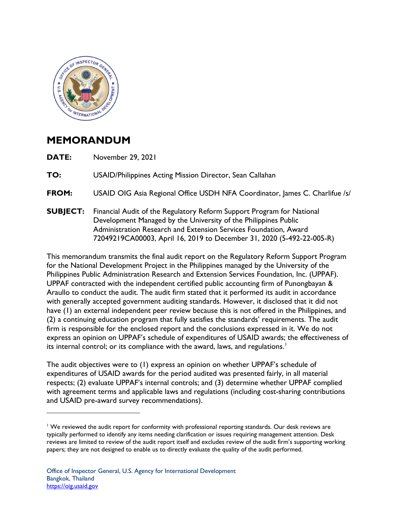

## **MEMORANDUM**

**DATE:** November 29, 2021

**TO: TO:** USAID/Philippines Acting Mission Director, Sean Callahan

**FROM:** USAID OIG Asia Regional Office USDH NFA Coordinator, James C. Charlifue /s/

 Development Managed by the University of the Philippines Public **SUBJECT:** Financial Audit of the Regulatory Reform Support Program for National Administration Research and Extension Services Foundation, Award 72049219CA00003, April 16, 2019 to December 31, 2020 (5-492-22-005-R)

 express an opinion on UPPAF's schedule of expenditures of USAID awards; the effectiveness of This memorandum transmits the final audit report on the Regulatory Reform Support Program for the National Development Project in the Philippines managed by the University of the Philippines Public Administration Research and Extension Services Foundation, Inc. (UPPAF). UPPAF contracted with the independent certified public accounting firm of Punongbayan & Araullo to conduct the audit. The audit firm stated that it performed its audit in accordance with generally accepted government auditing standards. However, it disclosed that it did not have (1) an external independent peer review because this is not offered in the Philippines, and (2) a continuing education program that fully satisfies the standards' requirements. The audit firm is responsible for the enclosed report and the conclusions expressed in it. We do not its internal control; or its compliance with the award, laws, and regulations. 1

and USAID pre-award survey recommendations). The audit objectives were to (1) express an opinion on whether UPPAF's schedule of expenditures of USAID awards for the period audited was presented fairly, in all material respects; (2) evaluate UPPAF's internal controls; and (3) determine whether UPPAF complied with agreement terms and applicable laws and regulations (including cost-sharing contributions

 and USAID pre-award survey recommendations). 1 We reviewed the audit report for conformity with professional reporting standards. Our desk reviews are typically performed to identify any items needing clarification or issues requiring management attention. Desk reviews are limited to review of the audit report itself and excludes review of the audit firm's supporting working papers; they are not designed to enable us to directly evaluate the quality of the audit performed.